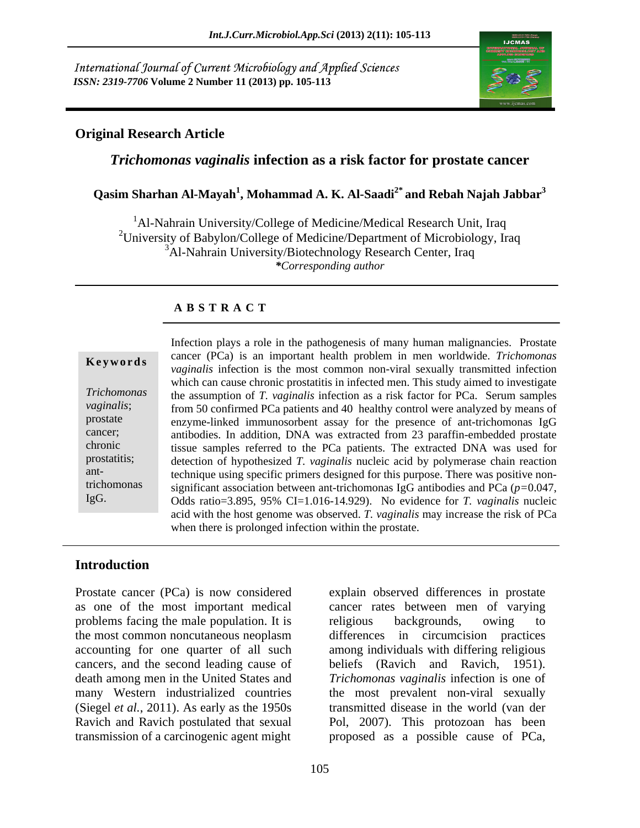International Journal of Current Microbiology and Applied Sciences *ISSN: 2319-7706* **Volume 2 Number 11 (2013) pp. 105-113**



### **Original Research Article**

### *Trichomonas vaginalis* **infection as a risk factor for prostate cancer**

### **Qasim Sharhan Al-Mayah<sup>1</sup> , Mohammad A. K. Al-Saadi2\* and Rebah Najah Jabbar3**

<sup>1</sup>Al-Nahrain University/College of Medicine/Medical Research Unit, Iraq <sup>2</sup>University of Babylon/College of Medicine/Department of Microbiology, Iraq <sup>3</sup>Al-Nahrain University/Biotechnology Research Center, Iraq *\*Corresponding author* 

### **A B S T R A C T**

ant-

**Keywords**<br> *vaginalis* infection is the most common non-viral sexually transmitted infection *Trichomonas*  the assumption of *T. vaginalis* infection as a risk factor for PCa. Serum samples vaginalis; from 50 confirmed PCa patients and 40 healthy control were analyzed by means of prostate enzyme-linked immunosorbent assay for the presence of ant-trichomonas IgG cancer; antibodies. In addition, DNA was extracted from 23 paraffin-embedded prostate chronic tissue samples referred to the PCa patients. The extracted DNA was used for prostatitis; detection of hypothesized *T. vaginalis* nucleic acid by polymerase chain reaction trichomonas significant association between ant-trichomonas IgG antibodies and PCa (*p=*0.047, Infection plays a role in the pathogenesis of many human malignancies. Prostate<br>
cancer (PCa) is an important health problem in men worldwide. *Trichomonas*<br> *vaginalis* infection is the most common non-viral sexually tra cancer (PCa) is an important health problem in men worldwide. *Trichomonas*  which can cause chronic prostatitis in infected men. This study aimed to investigate technique using specific primers designed for this purpose. There was positive non- Odds ratio=3.895, 95% CI=1.016-14.929). No evidence for *T. vaginalis* nucleic acid with the host genome was observed. *T. vaginalis* may increase the risk of PCa when there is prolonged infection within the prostate.

### **Introduction**

Prostate cancer (PCa) is now considered explain observed differences in prostate as one of the most important medical cancer rates between men of varying problems facing the male population. It is religious backgrounds, owing to the most common noncutaneous neoplasm differences in circumcision practices accounting for one quarter of all such among individuals with differing religious cancers, and the second leading cause of beliefs (Ravich and Ravich, 1951). death among men in the United States and *Trichomonas vaginalis* infection is one of many Western industrialized countries the most prevalent non-viral sexually (Siegel *et al.*, 2011). As early as the 1950s transmitted disease in the world (van der Ravich and Ravich postulated that sexual transmission of a carcinogenic agent might

religious backgrounds, owing to Pol, 2007). This protozoan has been proposed as a possible cause of PCa,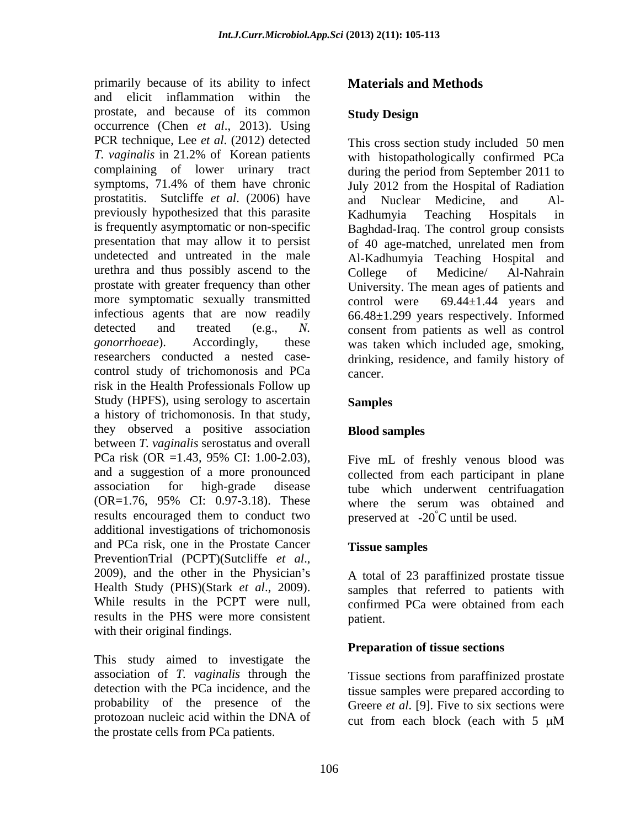primarily because of its ability to infect and elicit inflammation within the prostate, and because of its common Study Design occurrence (Chen *et al*., 2013). Using PCR technique, Lee *et al*. (2012) detected *T. vaginalis* in 21.2% of Korean patients with histopathologically confirmed PCa complaining of lower urinary tract during the period from September 2011 to symptoms, 71.4% of them have chronic July 2012 from the Hospital of Radiation prostatitis. Sutcliffe *et al*. (2006) have previously hypothesized that this parasite Kadhumvia Teaching Hospitals in is frequently asymptomatic or non-specific presentation that may allow it to persist undetected and untreated in the male Al-Kadhumyia Teaching Hospital and urethra and thus possibly ascend to the College of Medicine/ Al-Nahrain prostate with greater frequency than other more symptomatic sexually transmitted control were  $69.44 \pm 1.44$  years and infectious agents that are now readily 66.48±1.299 years respectively. Informed detected and treated (e.g., *N.*  consent from patients as well as control *gonorrhoeae*). Accordingly, these was taken which included age, smoking, researchers conducted a nested case- drinking, residence, and family history of control study of trichomonosis and PCa cancer. risk in the Health Professionals Follow up Study (HPFS), using serology to ascertain Samples a history of trichomonosis. In that study, they observed a positive association **Blood samples** between *T. vaginalis* serostatus and overall PCa risk (OR =1.43, 95% CI: 1.00-2.03), Five mL of freshly venous blood was and a suggestion of a more pronounced collected from each participant in plane association for high-grade disease tube which underwent centrifuagation (OR=1.76, 95% CI: 0.97-3.18). These where the serum was obtained and results encouraged them to conduct two additional investigations of trichomonosis and PCa risk, one in the Prostate Cancer PreventionTrial (PCPT)(Sutcliffe *et al.*,<br>2009), and the other in the Physician's A total of 23 paraffinized prostate tissue Health Study (PHS)(Stark *et al*., 2009). samples that referred to patients with While results in the PCPT were null, confirmed PCa were obtained from each results in the PHS were more consistent patient. with their original findings.

 This study aimed to investigate the association of *T. vaginalis* through the detection with the PCa incidence, and the tissue samples were prepared according to probability of the presence of the Greere *et al.* [9]. Five to six sections were protozoan nucleic acid within the DNA of  $\qquad$  cut from each block (each with 5  $\mu$ M the prostate cells from PCa patients.

# **Materials and Methods**

### **Study Design**

This cross section study included 50 men and Nuclear Medicine, and Al- Kadhumyia Teaching Hospitals in Baghdad-Iraq. The control group consists of 40 age-matched, unrelated men from College of Medicine/ Al-Nahrain University. The mean ages of patients and control were  $69.44 \pm 1.44$  years and cancer.

# **Samples**

# **Blood samples**

Five mL of freshly venous blood was preserved at  $-20^{\circ}$ C until be used.

# **Tissue samples**

A total of 23 paraffinized prostate tissue confirmed PCa were obtained from each patient.

# **Preparation of tissue sections**

Tissue sections from paraffinized prostate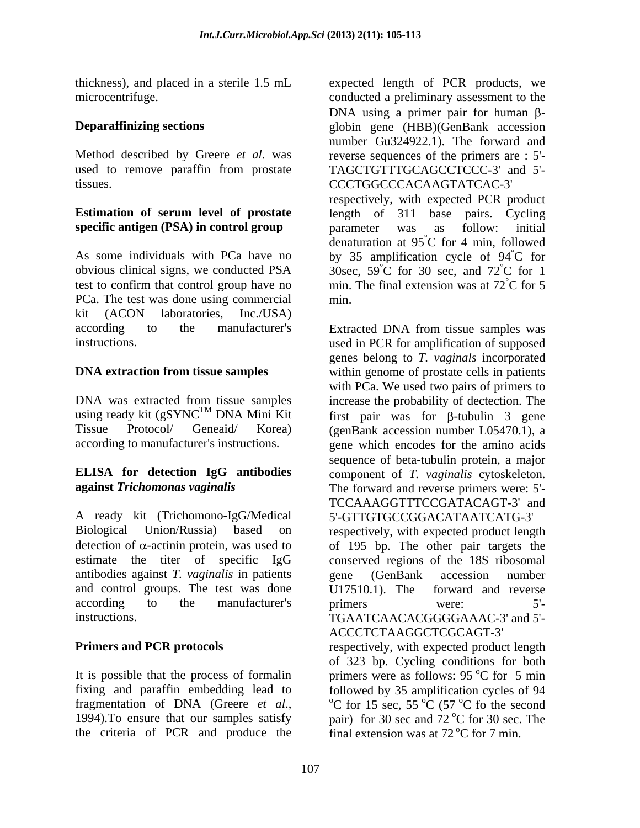used to remove paraffin from prostate

# **specific antigen (PSA) in control group** barameter was as follow: initial

test to confirm that control group have no PCa. The test was done using commercial kit (ACON laboratories, Inc./USA)

using ready kit (gSYNC<sup>TM</sup> DNA Mini Kit

antibodies against *T. vaginalis* in patients and control groups. The test was done U17510.1). The forward and reverse

the criteria of PCR and produce the

thickness), and placed in a sterile 1.5 mL expected length of PCR products, we microcentrifuge. conducted a preliminary assessment to the **Deparaffinizing sections** globin gene (HBB)(GenBank accession Method described by Greere *et al*. was reverse sequences of the primers are : 5' tissues. CCCTGGCCCACAAGTATCAC-3' **Estimation of serum level of prostate** length of 311 base pairs. Cycling As some individuals with PCa have no by 35 amplification cycle of  $94^{\circ}$ C for obvious clinical signs, we conducted PSA  $\qquad$  30sec, 59°C for 30 sec, and 72°C for 1 DNA using a primer pair for human  $\beta$ number Gu324922.1). The forward and TAGCTGTTTGCAGCCTCCC-3' and 5' respectively, with expected PCR product parameter was as follow: initial denaturation at  $95^{\circ}$ C for 4 min, followed °C for 4 min, followed °C for °C for 1 min. The final extension was at  $72^{\circ}$ C for 5 °C for 5 min.

according to the manufacturer's Extracted DNA from tissue samples was instructions. used in PCR for amplification of supposed **DNA extraction from tissue samples** within genome of prostate cells in patients DNA was extracted from tissue samples increase the probability of dectection. The  $T^M$  DNA Mini Kit first pair was for  $\beta$ -tubulin 3 gene Tissue Protocol/ Geneaid/ Korea) (genBank accession number L05470.1), a according to manufacturer's instructions. gene which encodes for the amino acids **ELISA for detection IgG antibodies** component of *T. vaginalis* cytoskeleton. **against** *Trichomonas vaginalis* The forward and reverse primers were: 5'- A ready kit (Trichomono-IgG/Medical 5'-GTTGTGCCGGACATAATCATG-3' Biological Union/Russia) based on respectively, with expected product length detection of  $\alpha$ -actinin protein, was used to  $\alpha$  of 195 bp. The other pair targets the estimate the titer of specific IgG conserved regions of the 18S ribosomal according to the manufacturer's primers were: 5'instructions. TGAATCAACACGGGGAAAC-3' and 5'- **Primers and PCR protocols** respectively, with expected product length genes belong to *T. vaginals* incorporated with PCa. We used two pairs of primers to first pair was for  $\beta$ -tubulin 3 gene sequence of beta-tubulin protein, a major TCCAAAGGTTTCCGATACAGT-3' and gene (GenBank accession number U17510.1). The forward and reverse primers were: 5'-ACCCTCTAAGGCTCGCAGT-3'

It is possible that the process of formalin  $\mu$  primers were as follows: 95 °C for 5 min fixing and paraffin embedding lead to followed by 35 amplification cycles of 94 fragmentation of DNA (Greere *et al.*, <sup>o</sup>C for 15 sec, 55 <sup>o</sup>C (57 <sup>o</sup>C fo the second 1994).To ensure that our samples satisfy pair) for 30 sec and 72 <sup>o</sup>C for 30 sec. The of 323 bp. Cycling conditions for both  $^{\circ}$ C for 5 min  $\rm{^{\circ}C}$  for 15 sec, 55  $\rm{^{\circ}C}$  (57  $\rm{^{\circ}C}$  fo the second  $\rm{^{\circ}C}$  (57  $\rm{^{\circ}C}$  fo the second <sup>o</sup>C fo the second pair) for 30 sec and  $72^{\circ}$ C for 30 sec. The <sup>o</sup>C for 30 sec. The final extension was at  $72^{\circ}$ C for 7 min.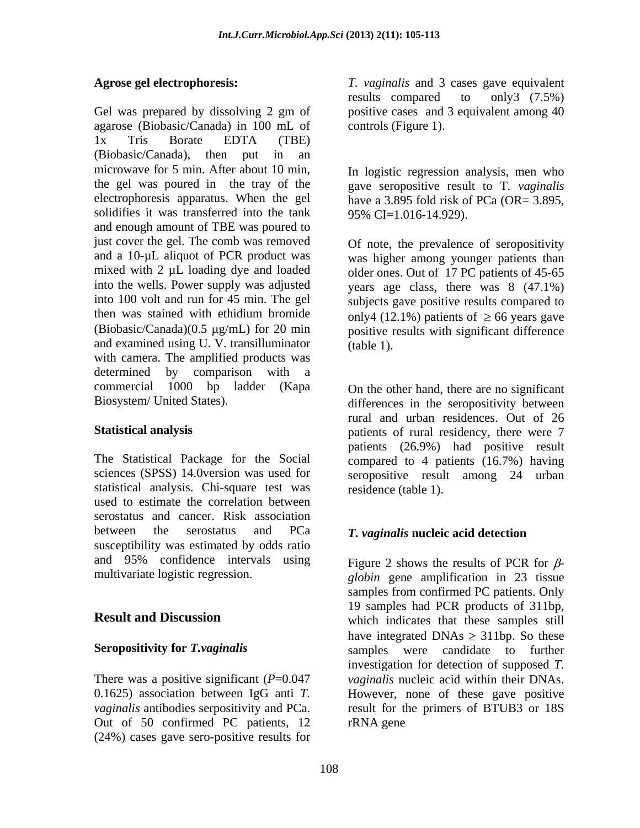Gel was prepared by dissolving 2 gm of positive cases and 3 equivalent among 40 agarose (Biobasic/Canada) in 100 mL of 1x Tris Borate EDTA (TBE) (Biobasic/Canada), then put in an microwave for 5 min. After about 10 min, In logistic regression analysis, men who the gel was poured in the tray of the gave seropositive result to T*. vaginalis* electrophoresis apparatus. When the gel have a 3.895 fold risk of PCa (OR=  $3.895$ , solidifies it was transferred into the tank 95% CI=1.016-14.929). and enough amount of TBE was poured to just cover the gel. The comb was removed Of note, the prevalence of seropositivity and a 10-µL aliquot of PCR product was was higher among younger patients than mixed with 2 µL loading dye and loaded older ones. Out of 17 PC patients of 45-65 into the wells. Power supply was adjusted into 100 volt and run for 45 min. The gel then was stained with ethidium bromide only4 (12.1%) patients of  $\geq 66$  years gave  $(Biobasic/Canada)(0.5 \mu g/mL)$  for 20 min positive results with significant difference and examined using U. V. transilluminator (table 1). with camera. The amplified products was determined by comparison with a commercial 1000 bp ladder (Kapa On the other hand, there are no significant

sciences (SPSS) 14.0version was used for statistical analysis. Chi-square test was used to estimate the correlation between serostatus and cancer. Risk association between the serostatus and PCa *T. vaginalis* **nucleic acid detection** susceptibility was estimated by odds ratio and 95% confidence intervals using

Out of 50 confirmed PC patients, 12 (24%) cases gave sero-positive results for

**Agrose gel electrophoresis:** *T. vaginalis* and 3 cases gave equivalent results compared to only3 (7.5%) controls (Figure 1).

have a 3.895 fold risk of PCa (OR= 3.895,<br>95% CI=1.016-14.929).

years age class, there was 8 (47.1%) subjects gave positive results compared to (table 1).

Biosystem/ United States). differences in the seropositivity between **Statistical analysis** patients of rural residency, there were 7 The Statistical Package for the Social compared to 4 patients (16.7%) having rural and urban residences. Out of 26 patients (26.9%) had positive result seropositive result among 24 urban residence (table 1).

multivariate logistic regression. <br>*globin* gene amplification in 23 tissue **Result and Discussion** Seropositivity for *T. vaginalis* samples were candidate to further There was a positive significant (*P*=0.047 *vaginalis* nucleic acid within their DNAs. 0.1625) association between IgG anti *T.* However, none of these gave positive *vaginalis* antibodies serpositivity and PCa. result for the primers of BTUB3 or 18S Figure 2 shows the results of PCR for  $\beta$ samples from confirmed PC patients. Only 19 samples had PCR products of 311bp, have integrated DNAs  $\geq$  311bp. So these investigation for detection of supposed *T.*  rRNA gene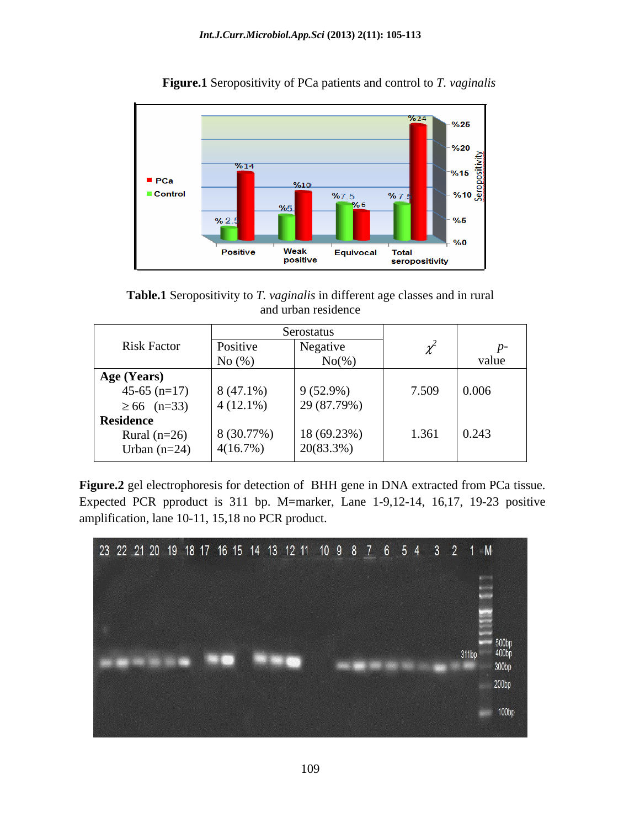

**Figure.1** Seropositivity of PCa patients and control to *T. vaginalis*

**Table.1** Seropositivity to *T. vaginalis* in different age classes and in rural and urban residence and urban residence

|                    | Serostatus  |             |       |       |
|--------------------|-------------|-------------|-------|-------|
| <b>Risk Factor</b> | Positive    | Negative    |       |       |
|                    | No $(\%)$   | $No(\%)$    |       | value |
| Age (Years)        |             |             |       |       |
| $45-65$ (n=17)     | $8(47.1\%)$ | $9(52.9\%)$ | 7.509 | 0.006 |
| $\geq 66$ (n=33)   | $4(12.1\%)$ | 29 (87.79%) |       |       |
| <b>Residence</b>   |             |             |       |       |
| Rural $(n=26)$     | 8(30.77%)   | 18 (69.23%) | 1.361 | 0.243 |
| Urban $(n=24)$     | 4(16.7%)    | 20(83.3%)   |       |       |

**Figure.2** gel electrophoresis for detection of BHH gene in DNA extracted from PCa tissue. Expected PCR pproduct is 311 bp. M=marker, Lane 1-9,12-14, 16,17, 19-23 positive amplification, lane 10-11, 15,18 no PCR product.

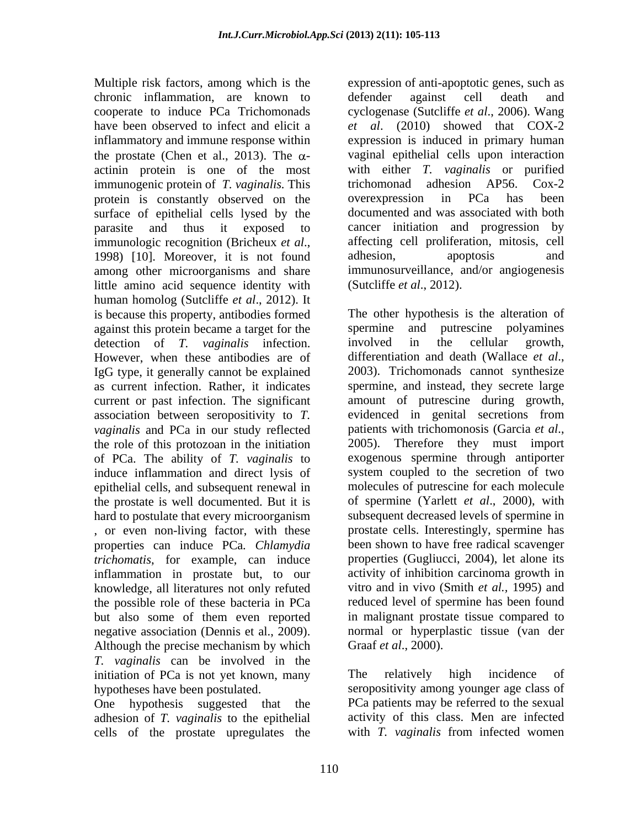Multiple risk factors, among which is the expression of anti-apoptotic genes, such as chronic inflammation, are known to cooperate to induce PCa Trichomonads cyclogenase (Sutcliffe *et al*., 2006). Wang have been observed to infect and elicit a *et al*. (2010) showed that COX-2 inflammatory and immune response within expression is induced in primary human the prostate (Chen et al., 2013). The  $\alpha$ actinin protein is one of the most with either *T*. *vaginalis* or<br>immunogenic protein of *T. vaginalis*. This trichomonad adhesion AP56. immunogenic protein of *T. vaginalis*. This trichomonad adhesion AP56. Cox-2 protein is constantly observed on the overexpression in PCa has been surface of epithelial cells lysed by the documented and was associated with both parasite and thus it exposed to cancer initiation and progression by immunologic recognition (Bricheux *et al.*, affecting cell proliferation, mitosis, cell 1998) [10]. Moreover, it is not found adhesion, apoptosis and among other microorganisms and share immunosurveillance, and/or angiogenesis little amino acid sequence identity with human homolog (Sutcliffe *et al*., 2012). It is because this property, antibodies formed against this protein became a target for the spermine and putrescine polyamines detection of  $T$  vaginalis infection involved in the cellular growth. detection of *T. vaginalis* infection. involved in the cellular growth, However, when these antibodies are of differentiation and death (Wallace et al., IgG type, it generally cannot be explained 2003). Trichomonads cannot synthesize as current infection. Rather, it indicates current or past infection. The significant *vaginalis* and PCa in our study reflected patients with trichomonosis (Garcia et al., the role of this protozoan in the initiation 2005). Therefore they must import of PCa. The ability of *T. vaginalis* to induce inflammation and direct lysis of epithelial cells, and subsequent renewal in the prostate is well documented. But it is hard to postulate that every microorganism , or even non-living factor, with these *trichomatis*, for example, can induce inflammation in prostate but, to our knowledge, all literatures not only refuted the possible role of these bacteria in PCa but also some of them even reported negative association (Dennis et al., 2009). Inormal or hyperplastic tissue (van der Although the precise mechanism by which Graaf *et al.*, 2000). *T. vaginalis* can be involved in the initiation of PCa is not yet known, many The relatively high incidence of

One hypothesis suggested that the adhesion of *T. vaginalis* to the epithelial activity of this class. Men are infected cells of the prostate upregulates the with *T. vaginalis* from infected women cells of the prostate upregulates the

defender against cell death and vaginal epithelial cells upon interaction with either *T. vaginalis* or purified trichomonad adhesion AP56. Cox-2 overexpression in PCa has been affecting cell proliferation, mitosis, cell adhesion, apoptosis and (Sutcliffe *et al*., 2012).

association between seropositivity to *T.* evidenced in genital secretions from properties can induce PCa*. Chlamydia* been shown to have free radical scavenger The other hypothesis is the alteration of spermine and putrescine polyamines involved in the cellular growth, differentiation and death (Wallace *et al*., 2003). Trichomonads cannot synthesize spermine, and instead, they secrete large amount of putrescine during growth, patients with trichomonosis (Garcia *et al*., 2005). Therefore they must import exogenous spermine through antiporter system coupled to the secretion of two molecules of putrescine for each molecule of spermine (Yarlett *et al.*, 2000), with subsequent decreased levels of spermine in prostate cells. Interestingly, spermine has properties (Gugliucci, 2004), let alone its activity of inhibition carcinoma growth in vitro and in vivo (Smith *et al.,* 1995) and reduced level of spermine has been found in malignant prostate tissue compared to normal or hyperplastic tissue (van der Graaf *et al*., 2000).

hypotheses have been postulated. seropositivity among younger age class of The relatively high incidence of PCa patients may be referred to the sexual activity of this class. Men are infected with *T. vaginalis* from infected women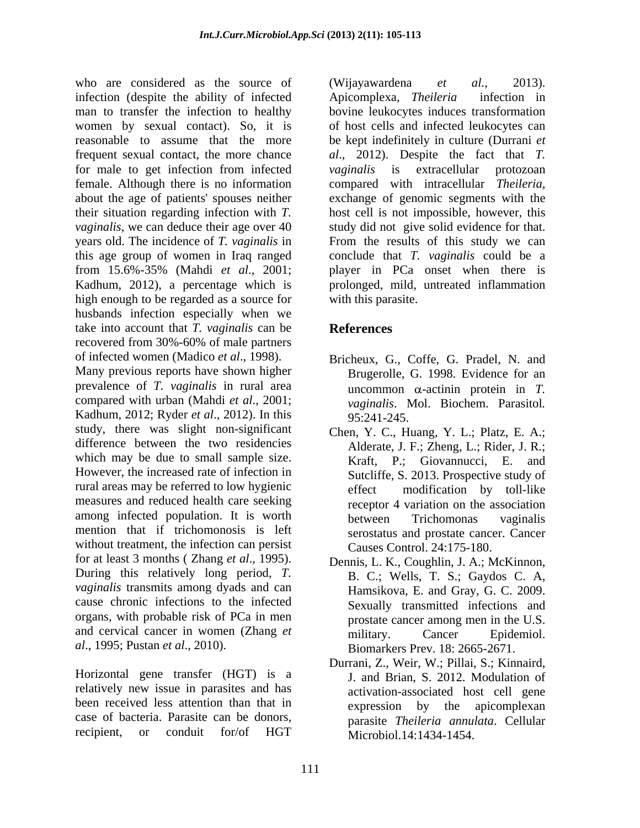who are considered as the source of (Wijayawardena et al., 2013). infection (despite the ability of infected Apicomplexa, Theileria infection in man to transfer the infection to healthy bovine leukocytes induces transformation women by sexual contact). So, it is of host cells and infected leukocytes can reasonable to assume that the more be kept indefinitely in culture (Durrani *et*  frequent sexual contact, the more chance *al*., 2012). Despite the fact that *T.*  for male to get infection from infected vaginalis is extracellular protozoan female. Although there is no information about the age of patients' spouses neither exchange of genomic segments with the their situation regarding infection with *T.*  host cell is not impossible, however, this *vaginalis*, we can deduce their age over 40 study did not give solid evidence for that. years old. The incidence of *T. vaginalis* in this age group of women in Iraq ranged conclude that *T. vaginalis* could be a from 15.6%-35% (Mahdi *et al*., 2001; player in PCa onset when there is Kadhum, 2012), a percentage which is prolonged, mild, untreated inflammation high enough to be regarded as a source for husbands infection especially when we take into account that *T. vaginalis* can be recovered from 30%-60% of male partners

Many previous reports have shown higher prevalence of *T. vaginalis* in rural area compared with urban (Mahdi *et al*., 2001; Kadhum, 2012; Ryder *et al*., 2012). In this study, there was slight non-significant difference between the two residencies which may be due to small sample size. However, the increased rate of infection in rural areas may be referred to low hygienic measures and reduced health care seeking among infected population. It is worth between Trichomonas vaginalis mention that if trichomonosis is left without treatment, the infection can persist for at least 3 months ( Zhang *et al.*, 1995). Dennis, L. K., Coughlin, J. A.; McKinnon,<br>During this relatively long period, *T.* B. C.: Wells, T. S.: Gaydos C. A. *vaginalis* transmits among dyads and can Hamsikova, E. and Gray, G. C. 2009. cause chronic infections to the infected<br>
Sexually transmitted infections and organs, with probable risk of PCa in men and cervical cancer in women (Zhang *et* military. Cancer Epidemiol. *al*., 1995; Pustan *et al*., 2010).

Horizontal gene transfer (HGT) is a relatively new issue in parasites and has been received less attention than that in case of bacteria. Parasite can be donors, parasite *Theileria annulata*. Cellular

(Wijayawardena *et al.,* 2013). Apicomplexa, *Theileria* infection in *vaginalis* is extracellular protozoan compared with intracellular *Theileria,* From the results of this study we can with this parasite.

# **References**

- of infected women (Madico *et al*., 1998). Bricheux, G., Coffe, G. Pradel, N. and Brugerolle, G. 1998. Evidence for an uncommon  $\alpha$ -actinin protein in *T*. *vaginalis*. Mol. Biochem. Parasitol*.* 95:241-245.
	- Chen, Y. C., Huang, Y. L.; Platz, E. A.; Alderate, J. F.; Zheng, L.; Rider, J. R.; Kraft, P.; Giovannucci, E. and Sutcliffe, S. 2013. Prospective study of modification by toll-like receptor 4 variation on the association between Trichomonas vaginalis serostatus and prostate cancer. Cancer Causes Control. 24:175-180.
	- Dennis, L. K., Coughlin, J. A.; McKinnon, B. C.; Wells, T. S.; Gaydos C. A, Hamsikova, E. and Gray, G. C. 2009. Sexually transmitted infections and prostate cancer among men in the U.S. military. Cancer Epidemiol.<br>Biomarkers Prev. 18: 2665-2671.
- recipient, or conduit for/of HGT Microbiol.14:1434-1454. Durrani, Z., Weir, W.; Pillai, S.; Kinnaird, J. and Brian, S. 2012. Modulation of activation-associated host cell gene expression by the apicomplexan Microbiol.14:1434-1454.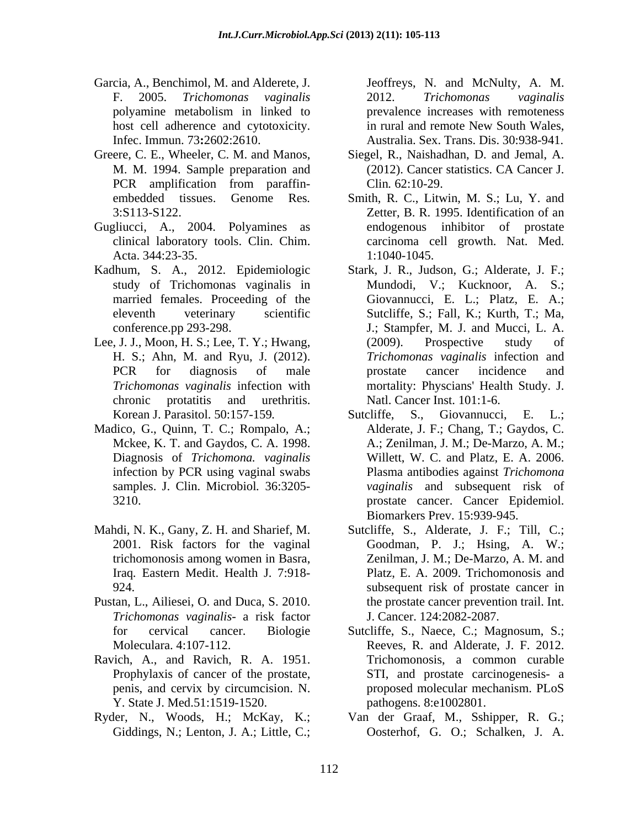- Garcia, A., Benchimol, M. and Alderete, J.
- 
- Gugliucci, A., 2004. Polyamines as Acta. 344:23-35. 1:1040-1045.
- study of Trichomonas vaginalis in
- 
- Madico, G., Quinn, T. C.; Rompalo, A.; Mckee, K. T. and Gaydos, C. A. 1998.
- trichomonosis among women in Basra, Iraq*.* Eastern Medit. Health J. 7:918-
- Pustan, L., Ailiesei, O. and Duca, S. 2010. *Trichomonas vaginalis*- a risk factor
- Ravich, A., and Ravich, R. A. 1951. Prophylaxis of cancer of the prostate, Y. State J. Med.51:1519-1520.
- Giddings, N.; Lenton, J. A.; Little, C.;

F. 2005. *Trichomonas vaginalis* polyamine metabolism in linked to host cell adherence and cytotoxicity. in rural and remote New South Wales, Infec. Immun. 73**:**2602:2610. Australia. Sex. Trans. Dis. 30:938-941. Jeoffreys, N. and McNulty, A. M. 2012. *Trichomonas vaginalis* prevalence increases with remoteness

- Greere, C. E., Wheeler, C. M. and Manos, Siegel, R., Naishadhan, D. and Jemal, A. M. M. 1994. Sample preparation and (2012). Cancer statistics. CA Cancer J. PCR amplification from paraffin- Clin. 62:10-29. (2012). Cancer statistics. CA Cancer J. Clin*.* 62:10-29.
	- embedded tissues. Genome Res*.* Smith, R. C., Litwin, M. S.; Lu, Y. and 3:S113-S122. Zetter, B. R. 1995. Identification of an clinical laboratory tools. Clin. Chim. carcinoma cell growth. Nat. Med. endogenous inhibitor of prostate 1:1040-1045.
- Kadhum, S. A., 2012. Epidemiologic Stark, J. R., Judson, G.; Alderate, J. F.; married females. Proceeding of the Giovannucci, E. L.; Platz, E. A.; eleventh veterinary scientific Sutcliffe, S.; Fall, K.; Kurth, T.; Ma, conference.pp 293-298. J.; Stampfer, M. J. and Mucci, L. A. Lee, J. J., Moon, H. S.; Lee, T. Y.; Hwang, (2009). Prospective study of H. S.; Ahn, M. and Ryu, J. (2012). *Trichomonas vaginalis* infection and PCR for diagnosis of male prostate cancer incidence and *Trichomonas vaginalis* infection with mortality: Physcians' Health Study. J. chronic protatitis and urethritis. Natl. Cancer Inst. 101:1-6. Mundodi, V.; Kucknoor, A. S.; (2009). Prospective study of prostate cancer incidence and Natl. Cancer Inst. 101:1-6.
	- Korean J. Parasitol. 50:157-159. Sutcliffe, S., Giovannucci, E. L.; Diagnosis of *Trichomona. vaginalis* infection by PCR using vaginal swabs Plasma antibodies against Trichomona samples. J. Clin. Microbiol*.* 36:3205- *vaginalis* and subsequent risk of 3210. prostate cancer. Cancer Epidemiol. S., Giovannucci, E. Alderate, J. F.; Chang, T.; Gaydos, C. A.; Zenilman, J. M.; De-Marzo, A. M.; Willett, W. C. and Platz, E. A. 2006. Plasma antibodies against *Trichomona*  Biomarkers Prev. 15:939-945.
- Mahdi, N. K., Gany, Z. H. and Sharief, M. Sutcliffe, S., Alderate, J. F.; Till, C.; 2001. Risk factors for the vaginal Goodman, P. J.; Hsing, A. W.; 924. subsequent risk of prostate cancer in Zenilman, J. M.; De-Marzo, A. M. and Platz, E. A. 2009. Trichomonosis and the prostate cancer prevention trail. Int. J. Cancer. 124:2082-2087.
	- for cervical cancer. Biologie Sutcliffe, S., Naece, C.; Magnosum, S.; Moleculara. 4:107-112. Reeves, R. and Alderate, J. F. 2012. penis, and cervix by circumcision. N. proposed molecular mechanism. PLoS Trichomonosis, a common curable STI, and prostate carcinogenesis- a pathogens. 8:e1002801.
- Ryder, N., Woods, H.; McKay, K.; Van der Graaf, M., Sshipper, R. G.; Oosterhof, G. O.; Schalken, J. A.